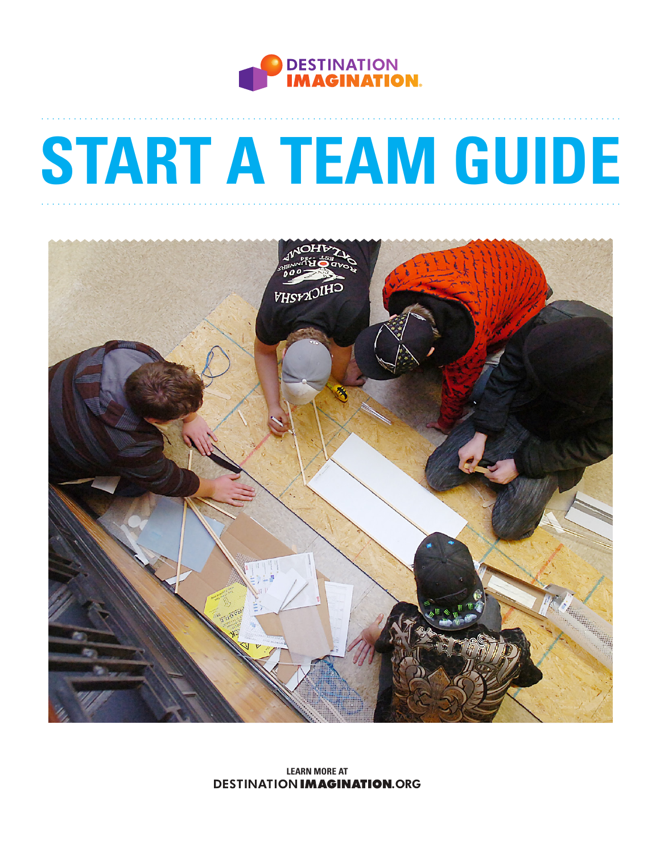

# **START A TEAM GUIDE**



**LEARN MORE AT DESTINATION IMAGINATION.ORG**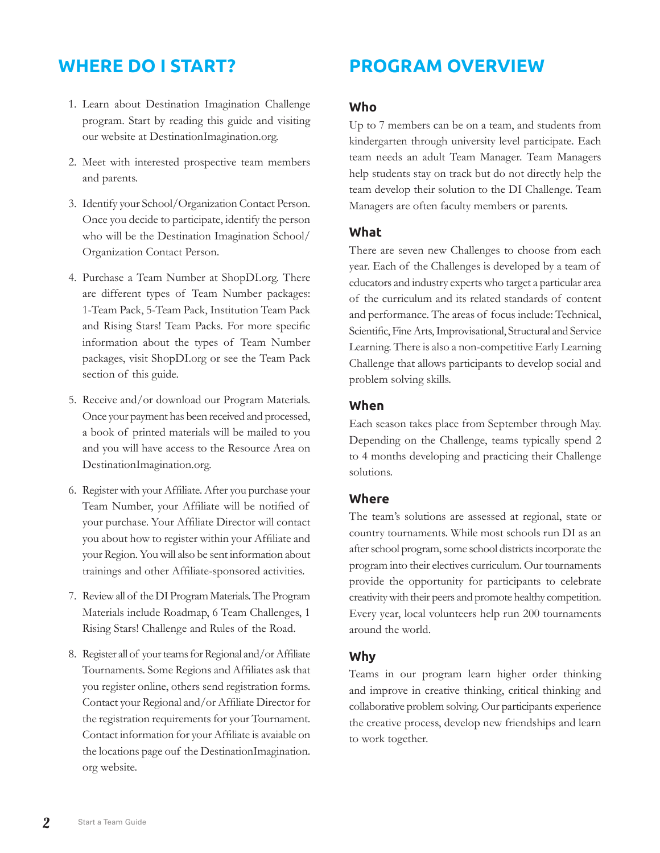# **WHERE DO I START?**

- 1. Learn about Destination Imagination Challenge program. Start by reading this guide and visiting our website at DestinationImagination.org.
- 2. Meet with interested prospective team members and parents.
- 3. Identify your School/Organization Contact Person. Once you decide to participate, identify the person who will be the Destination Imagination School/ Organization Contact Person.
- 4. Purchase a Team Number at ShopDI.org. There are different types of Team Number packages: 1-Team Pack, 5-Team Pack, Institution Team Pack and Rising Stars! Team Packs. For more specific information about the types of Team Number packages, visit ShopDI.org or see the Team Pack section of this guide.
- 5. Receive and/or download our Program Materials. Once your payment has been received and processed, a book of printed materials will be mailed to you and you will have access to the Resource Area on DestinationImagination.org.
- 6. Register with your Affiliate. After you purchase your Team Number, your Affiliate will be notified of your purchase. Your Affiliate Director will contact you about how to register within your Affiliate and your Region. You will also be sent information about trainings and other Affiliate-sponsored activities.
- 7. Review all of the DI Program Materials. The Program Materials include Roadmap, 6 Team Challenges, 1 Rising Stars! Challenge and Rules of the Road.
- 8. Register all of your teams for Regional and/or Affiliate Tournaments. Some Regions and Affiliates ask that you register online, others send registration forms. Contact your Regional and/or Affiliate Director for the registration requirements for your Tournament. Contact information for your Affiliate is avaiable on the locations page ouf the DestinationImagination. org website.

# **PROGRAM OVERVIEW**

#### **Who**

Up to 7 members can be on a team, and students from kindergarten through university level participate. Each team needs an adult Team Manager. Team Managers help students stay on track but do not directly help the team develop their solution to the DI Challenge. Team Managers are often faculty members or parents.

#### **What**

There are seven new Challenges to choose from each year. Each of the Challenges is developed by a team of educators and industry experts who target a particular area of the curriculum and its related standards of content and performance. The areas of focus include: Technical, Scientific, Fine Arts, Improvisational, Structural and Service Learning. There is also a non-competitive Early Learning Challenge that allows participants to develop social and problem solving skills.

#### **When**

Each season takes place from September through May. Depending on the Challenge, teams typically spend 2 to 4 months developing and practicing their Challenge solutions.

#### **Where**

The team's solutions are assessed at regional, state or country tournaments. While most schools run DI as an after school program, some school districts incorporate the program into their electives curriculum. Our tournaments provide the opportunity for participants to celebrate creativity with their peers and promote healthy competition. Every year, local volunteers help run 200 tournaments around the world.

#### **Why**

Teams in our program learn higher order thinking and improve in creative thinking, critical thinking and collaborative problem solving. Our participants experience the creative process, develop new friendships and learn to work together.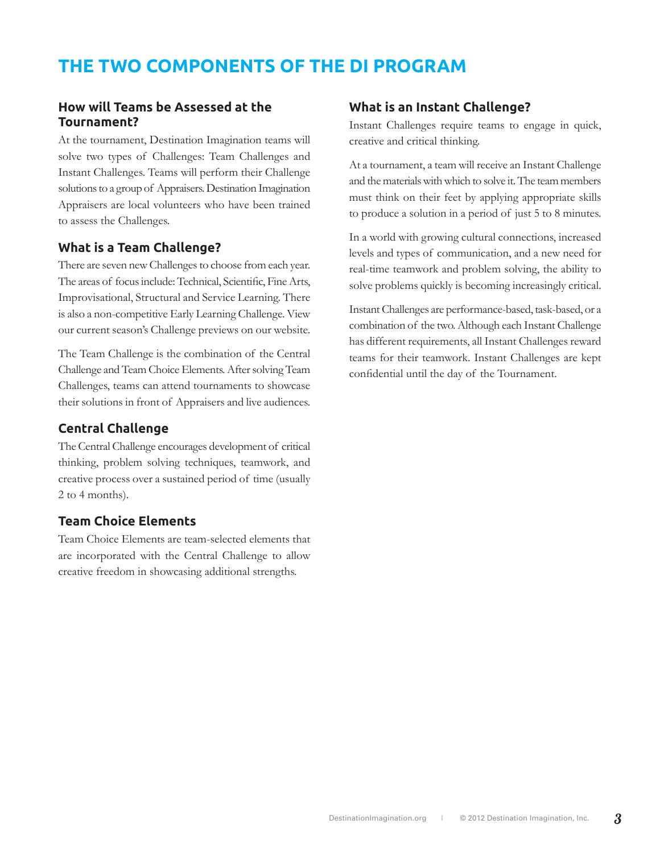# **THE TWO COMPONENTS OF THE DI PROGRAM**

#### **How will Teams be Assessed at the Tournament?**

At the tournament, Destination Imagination teams will solve two types of Challenges: Team Challenges and Instant Challenges. Teams will perform their Challenge solutions to a group of Appraisers. Destination Imagination Appraisers are local volunteers who have been trained to assess the Challenges.

#### **What is a Team Challenge?**

There are seven new Challenges to choose from each year. The areas of focus include: Technical, Scientific, Fine Arts, Improvisational, Structural and Service Learning. There is also a non-competitive Early Learning Challenge. View our current season's Challenge previews on our website.

The Team Challenge is the combination of the Central Challenge and Team Choice Elements. After solving Team Challenges, teams can attend tournaments to showcase their solutions in front of Appraisers and live audiences.

#### **Central Challenge**

The Central Challenge encourages development of critical thinking, problem solving techniques, teamwork, and creative process over a sustained period of time (usually 2 to 4 months).

#### **Team Choice Elements**

Team Choice Elements are team-selected elements that are incorporated with the Central Challenge to allow creative freedom in showcasing additional strengths.

## **What is an Instant Challenge?**

Instant Challenges require teams to engage in quick, creative and critical thinking.

At a tournament, a team will receive an Instant Challenge and the materials with which to solve it. The team members must think on their feet by applying appropriate skills to produce a solution in a period of just 5 to 8 minutes.

In a world with growing cultural connections, increased levels and types of communication, and a new need for real-time teamwork and problem solving, the ability to solve problems quickly is becoming increasingly critical.

Instant Challenges are performance-based, task-based, or a combination of the two. Although each Instant Challenge has different requirements, all Instant Challenges reward teams for their teamwork. Instant Challenges are kept confidential until the day of the Tournament.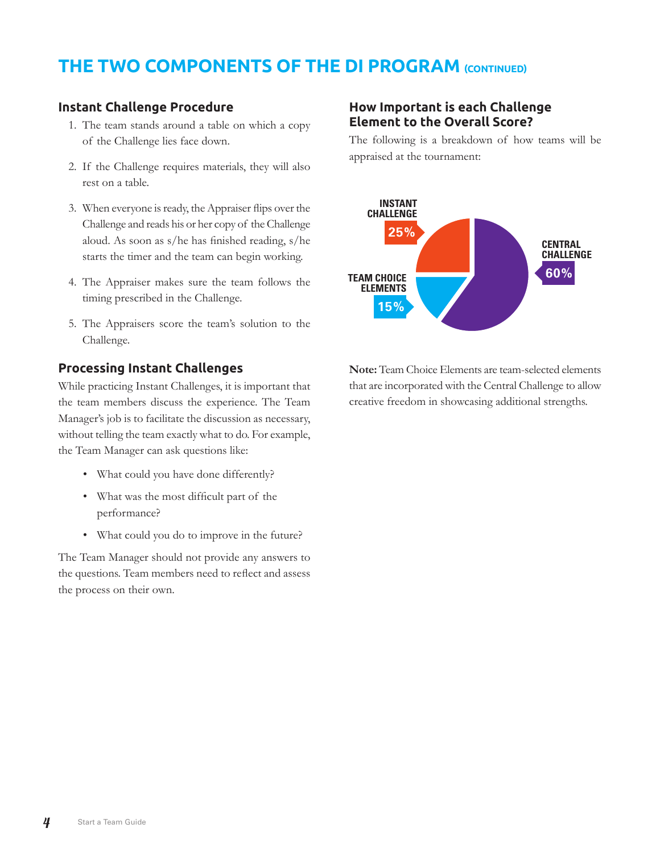# **THE TWO COMPONENTS OF THE DI PROGRAM (CONTINUED)**

#### **Instant Challenge Procedure**

- 1. The team stands around a table on which a copy of the Challenge lies face down.
- 2. If the Challenge requires materials, they will also rest on a table.
- 3. When everyone is ready, the Appraiser flips over the Challenge and reads his or her copy of the Challenge aloud. As soon as s/he has finished reading, s/he starts the timer and the team can begin working.
- 4. The Appraiser makes sure the team follows the timing prescribed in the Challenge.
- 5. The Appraisers score the team's solution to the Challenge.

#### **Processing Instant Challenges**

While practicing Instant Challenges, it is important that the team members discuss the experience. The Team Manager's job is to facilitate the discussion as necessary, without telling the team exactly what to do. For example, the Team Manager can ask questions like:

- What could you have done differently?
- What was the most difficult part of the performance?
- What could you do to improve in the future?

The Team Manager should not provide any answers to the questions. Team members need to reflect and assess the process on their own.

## **How Important is each Challenge Element to the Overall Score?**

The following is a breakdown of how teams will be appraised at the tournament:



**Note:** Team Choice Elements are team-selected elements that are incorporated with the Central Challenge to allow creative freedom in showcasing additional strengths.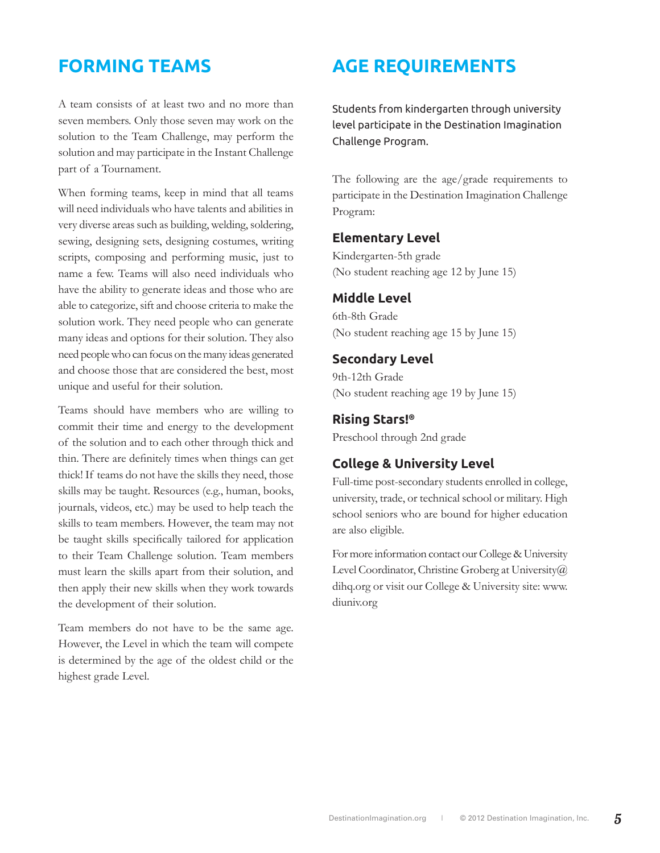# **FORMING TEAMS**

A team consists of at least two and no more than seven members. Only those seven may work on the solution to the Team Challenge, may perform the solution and may participate in the Instant Challenge part of a Tournament.

When forming teams, keep in mind that all teams will need individuals who have talents and abilities in very diverse areas such as building, welding, soldering, sewing, designing sets, designing costumes, writing scripts, composing and performing music, just to name a few. Teams will also need individuals who have the ability to generate ideas and those who are able to categorize, sift and choose criteria to make the solution work. They need people who can generate many ideas and options for their solution. They also need people who can focus on the many ideas generated and choose those that are considered the best, most unique and useful for their solution.

Teams should have members who are willing to commit their time and energy to the development of the solution and to each other through thick and thin. There are definitely times when things can get thick! If teams do not have the skills they need, those skills may be taught. Resources (e.g., human, books, journals, videos, etc.) may be used to help teach the skills to team members. However, the team may not be taught skills specifically tailored for application to their Team Challenge solution. Team members must learn the skills apart from their solution, and then apply their new skills when they work towards the development of their solution.

Team members do not have to be the same age. However, the Level in which the team will compete is determined by the age of the oldest child or the highest grade Level.

# **AGE REQUIREMENTS**

Students from kindergarten through university level participate in the Destination Imagination Challenge Program.

The following are the age/grade requirements to participate in the Destination Imagination Challenge Program:

#### **Elementary Level**

Kindergarten-5th grade (No student reaching age 12 by June 15)

#### **Middle Level**

6th-8th Grade (No student reaching age 15 by June 15)

#### **Secondary Level**

9th-12th Grade (No student reaching age 19 by June 15)

#### **Rising Stars!®**

Preschool through 2nd grade

#### **College & University Level**

Full-time post-secondary students enrolled in college, university, trade, or technical school or military. High school seniors who are bound for higher education are also eligible.

For more information contact our College & University Level Coordinator, Christine Groberg at University (a) dihq.org or visit our College & University site: www. diuniv.org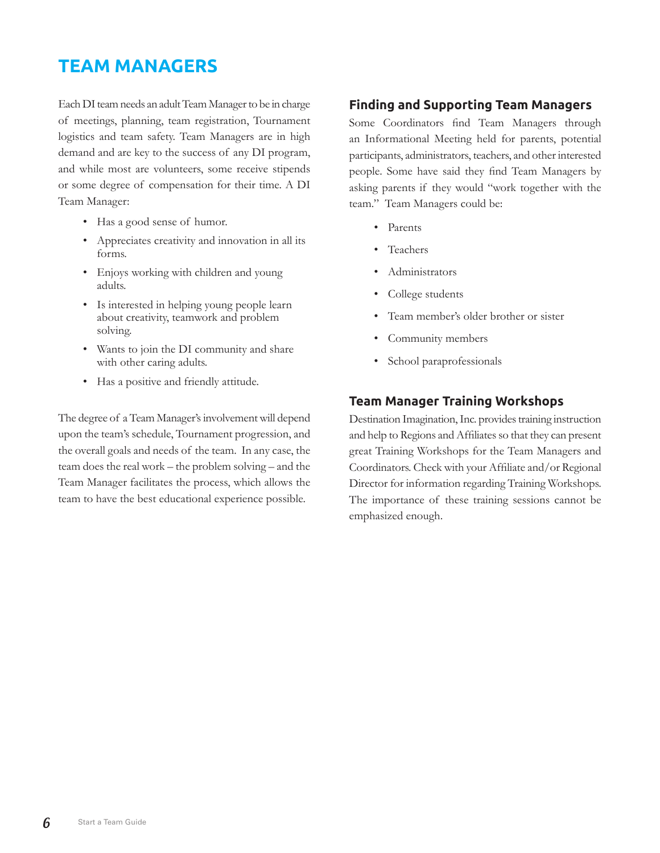# **TEAM MANAGERS**

Each DI team needs an adult Team Manager to be in charge of meetings, planning, team registration, Tournament logistics and team safety. Team Managers are in high demand and are key to the success of any DI program, and while most are volunteers, some receive stipends or some degree of compensation for their time. A DI Team Manager:

- Has a good sense of humor.
- Appreciates creativity and innovation in all its forms.
- Enjoys working with children and young adults.
- Is interested in helping young people learn about creativity, teamwork and problem solving.
- Wants to join the DI community and share with other caring adults.
- Has a positive and friendly attitude.

The degree of a Team Manager's involvement will depend upon the team's schedule, Tournament progression, and the overall goals and needs of the team. In any case, the team does the real work – the problem solving – and the Team Manager facilitates the process, which allows the team to have the best educational experience possible.

## **Finding and Supporting Team Managers**

Some Coordinators find Team Managers through an Informational Meeting held for parents, potential participants, administrators, teachers, and other interested people. Some have said they find Team Managers by asking parents if they would "work together with the team." Team Managers could be:

- Parents
- **Teachers**
- Administrators
- College students
- Team member's older brother or sister
- Community members
- School paraprofessionals

## **Team Manager Training Workshops**

Destination Imagination, Inc. provides training instruction and help to Regions and Affiliates so that they can present great Training Workshops for the Team Managers and Coordinators. Check with your Affiliate and/or Regional Director for information regarding Training Workshops. The importance of these training sessions cannot be emphasized enough.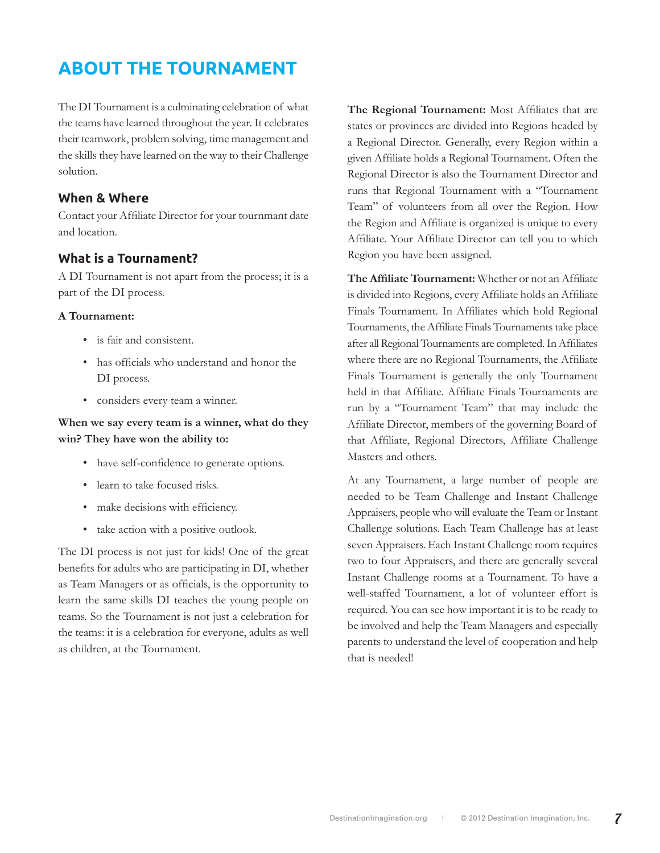# **ABOUT THE TOURNAMENT**

The DI Tournament is a culminating celebration of what the teams have learned throughout the year. It celebrates their teamwork, problem solving, time management and the skills they have learned on the way to their Challenge solution.

#### **When & Where**

Contact your Affiliate Director for your tournmant date and location.

#### **What is a Tournament?**

A DI Tournament is not apart from the process; it is a part of the DI process.

#### **A Tournament:**

- is fair and consistent.
- has officials who understand and honor the DI process.
- considers every team a winner.

#### **When we say every team is a winner, what do they win? They have won the ability to:**

- have self-confidence to generate options.
- learn to take focused risks.
- make decisions with efficiency.
- take action with a positive outlook.

The DI process is not just for kids! One of the great benefits for adults who are participating in DI, whether as Team Managers or as officials, is the opportunity to learn the same skills DI teaches the young people on teams. So the Tournament is not just a celebration for the teams: it is a celebration for everyone, adults as well as children, at the Tournament.

**The Regional Tournament:** Most Affiliates that are states or provinces are divided into Regions headed by a Regional Director. Generally, every Region within a given Affiliate holds a Regional Tournament. Often the Regional Director is also the Tournament Director and runs that Regional Tournament with a "Tournament Team" of volunteers from all over the Region. How the Region and Affiliate is organized is unique to every Affiliate. Your Affiliate Director can tell you to which Region you have been assigned.

**The Affiliate Tournament:** Whether or not an Affiliate is divided into Regions, every Affiliate holds an Affiliate Finals Tournament. In Affiliates which hold Regional Tournaments, the Affiliate Finals Tournaments take place after all Regional Tournaments are completed. In Affiliates where there are no Regional Tournaments, the Affiliate Finals Tournament is generally the only Tournament held in that Affiliate. Affiliate Finals Tournaments are run by a "Tournament Team" that may include the Affiliate Director, members of the governing Board of that Affiliate, Regional Directors, Affiliate Challenge Masters and others.

At any Tournament, a large number of people are needed to be Team Challenge and Instant Challenge Appraisers, people who will evaluate the Team or Instant Challenge solutions. Each Team Challenge has at least seven Appraisers. Each Instant Challenge room requires two to four Appraisers, and there are generally several Instant Challenge rooms at a Tournament. To have a well-staffed Tournament, a lot of volunteer effort is required. You can see how important it is to be ready to be involved and help the Team Managers and especially parents to understand the level of cooperation and help that is needed!